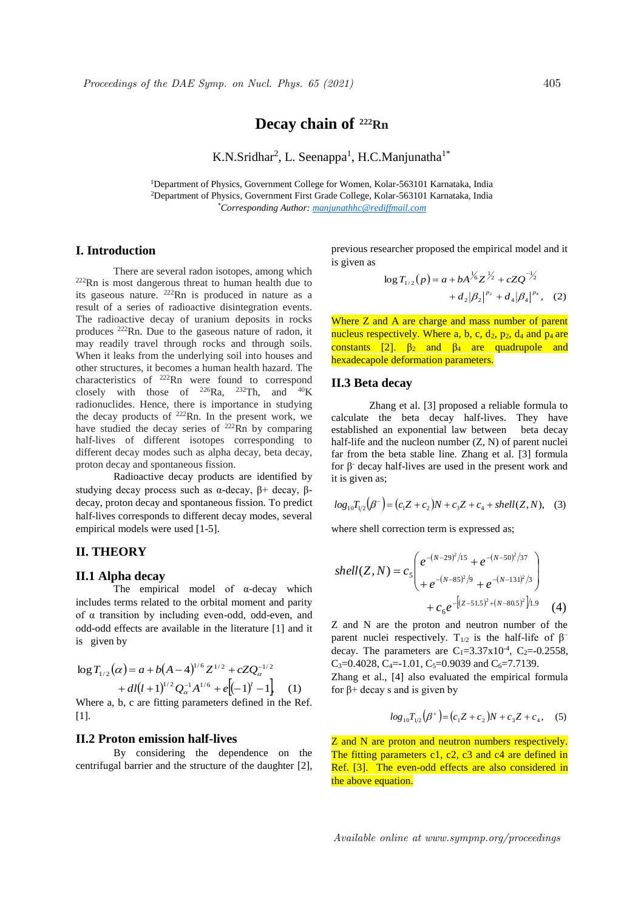# **Decay chain of <sup>222</sup>Rn**

K.N.Sridhar<sup>2</sup>, L. Seenappa<sup>1</sup>, H.C.Manjunatha<sup>1\*</sup>

<sup>1</sup>Department of Physics, Government College for Women, Kolar-563101 Karnataka, India <sup>2</sup>Department of Physics, Government First Grade College, Kolar-563101 Karnataka, India *\*Corresponding Author: manjunathhc@rediffmail.com*

# **I. Introduction**

There are several radon isotopes, among which  $222$ Rn is most dangerous threat to human health due to its gaseous nature. <sup>222</sup>Rn is produced in nature as a result of a series of radioactive disintegration events. The radioactive decay of uranium deposits in rocks produces <sup>222</sup>Rn. Due to the gaseous nature of radon, it may readily travel through rocks and through soils. When it leaks from the underlying soil into houses and other structures, it becomes a human health hazard. The characteristics of <sup>222</sup>Rn were found to correspond closely with those of  $^{226}Ra$ ,  $^{232}Th$ , and  $^{40}K$ radionuclides. Hence, there is importance in studying the decay products of  $222$ Rn. In the present work, we have studied the decay series of <sup>222</sup>Rn by comparing half-lives of different isotopes corresponding to different decay modes such as alpha decay, beta decay, proton decay and spontaneous fission.

Radioactive decay products are identified by studying decay process such as  $\alpha$ -decay,  $\beta$ + decay,  $\beta$ decay, proton decay and spontaneous fission. To predict half-lives corresponds to different decay modes, several empirical models were used [1-5].

## **II. THEORY**

#### **II.1 Alpha decay**

The empirical model of α-decay which includes terms related to the orbital moment and parity of α transition by including even-odd, odd-even, and odd-odd effects are available in the literature [1] and it is given by

$$
\log T_{1/2}(\alpha) = a + b(A - 4)^{1/6} Z^{1/2} + cZQ_{\alpha}^{-1/2} + dl(l+1)^{1/2} Q_{\alpha}^{-1} A^{1/6} + e[(-1)^{l} - 1],
$$
 (1)

Where a, b, c are fitting parameters defined in the Ref. [11].

### **II.2 Proton emission half-lives**

By considering the dependence on the centrifugal barrier and the structure of the daughter [2], previous researcher proposed the empirical model and it is given as

$$
\log T_{1/2}(p) = a + bA^{\frac{1}{6}}Z^{\frac{1}{2}} + cZQ^{-\frac{1}{2}} + d_2|B_4|^{p_4}, \quad (2)
$$

Where Z and A are charge and mass number of parent nucleus respectively. Where a, b, c,  $d_2$ ,  $p_2$ ,  $d_4$  and  $p_4$  are constants [2].  $\beta_2$  and  $\beta_4$  are quadrupole and hexadecapole deformation parameters.

#### **II.3 Beta decay**

Zhang et al. [3] proposed a reliable formula to calculate the beta decay half-lives. They have established an exponential law between beta decay half-life and the nucleon number (Z, N) of parent nuclei far from the beta stable line. Zhang et al. [3] formula for  $β$  decay half-lives are used in the present work and it is given as;

$$
log_{10}T_{1/2}(\beta^{-}) = (c_1Z + c_2)N + c_3Z + c_4 + shell(Z, N),
$$
 (3)

where shell correction term is expressed as;

shell(Z, N) = 
$$
c_5 \begin{pmatrix} e^{-(N-29)^2/15} + e^{-(N-50)^2/37} \\ + e^{-(N-85)^2/9} + e^{-(N-131)^2/3} \\ + c_6 e^{-[(Z-51.5)^2 + (N-80.5)^2]/1.9} \end{pmatrix}
$$
 (4)

Z and N are the proton and neutron number of the parent nuclei respectively. T<sub>1/2</sub> is the half-life of  $\beta$ <sup>−</sup> decay. The parameters are  $C_1 = 3.37 \times 10^{-4}$ ,  $C_2 = -0.2558$ , C<sub>3</sub>=0.4028, C<sub>4</sub>=-1.01, C<sub>5</sub>=0.9039 and C<sub>6</sub>=7.7139.

Zhang et al., [4] also evaluated the empirical formula for β+ decay s and is given by

$$
log_{10}T_{1/2}(\beta^+) = (c_1Z + c_2)N + c_3Z + c_4,
$$
 (5)

Z and N are proton and neutron numbers respectively. The fitting parameters c1, c2, c3 and c4 are defined in Ref. [3]. The even-odd effects are also considered in the above equation.